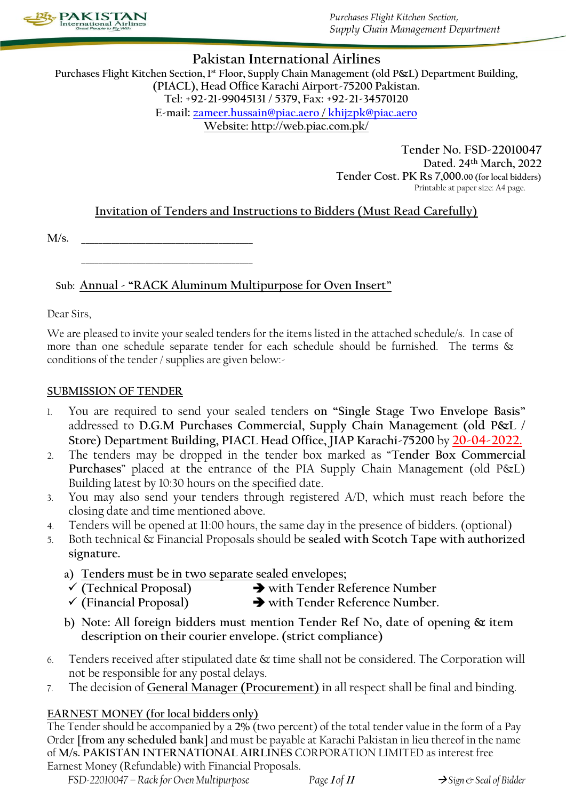

*Purchases Flight Kitchen Section, Supply Chain Management Department*

## **Pakistan International Airlines**

**Purchases Flight Kitchen Section, 1st Floor, Supply Chain Management (old P&L) Department Building, (PIACL), Head Office Karachi Airport-75200 Pakistan. Tel: +92-21-99045131 / 5379, Fax: +92-21-34570120 E-mail: [zameer.hussain@piac.aero](mailto:zameer.hussain@piac.aero) / [khijzpk@piac.aero](mailto:khijzpk@piac.aero) Website: http://web.piac.com.pk/**

> **Tender No. FSD-22010047 Dated. 24th March, 2022 Tender Cost. PK Rs 7,000.00 (for local bidders)** Printable at paper size: A4 page.

## **Invitation of Tenders and Instructions to Bidders (Must Read Carefully)**

**M/s.** \_\_\_\_\_\_\_\_\_\_\_\_\_\_\_\_\_\_\_\_\_\_\_\_\_\_\_\_\_\_\_\_\_\_\_\_\_\_\_\_

\_\_\_\_\_\_\_\_\_\_\_\_\_\_\_\_\_\_\_\_\_\_\_\_\_\_\_\_\_\_\_\_\_\_\_\_\_\_\_\_

## **Sub: Annual - "RACK Aluminum Multipurpose for Oven Insert"**

Dear Sirs,

We are pleased to invite your sealed tenders for the items listed in the attached schedule/s. In case of more than one schedule separate tender for each schedule should be furnished. The terms  $\&$ conditions of the tender / supplies are given below:-

#### **SUBMISSION OF TENDER**

- 1. You are required to send your sealed tenders **on "Single Stage Two Envelope Basis"**  addressed to **D.G.M Purchases Commercial, Supply Chain Management (old P&L / Store) Department Building, PIACL Head Office, JIAP Karachi-75200** by **20-04-2022.**
- 2. The tenders may be dropped in the tender box marked as "**Tender Box Commercial Purchases**" placed at the entrance of the PIA Supply Chain Management (old P&L) Building latest by 10:30 hours on the specified date.
- 3. You may also send your tenders through registered A/D, which must reach before the closing date and time mentioned above.
- 4. Tenders will be opened at 11:00 hours, the same day in the presence of bidders. (optional)
- 5. Both technical & Financial Proposals should be **sealed with Scotch Tape with authorized signature.**
	- **a) Tenders must be in two separate sealed envelopes;**
	- **(Technical Proposal) with Tender Reference Number**
	- **(Financial Proposal) with Tender Reference Number.**
	- **b) Note: All foreign bidders must mention Tender Ref No, date of opening & item description on their courier envelope. (strict compliance)**
- 6. Tenders received after stipulated date & time shall not be considered. The Corporation will not be responsible for any postal delays.
- 7. The decision of **General Manager (Procurement)** in all respect shall be final and binding.

## **EARNEST MONEY (for local bidders only)**

The Tender should be accompanied by a **2%** (two percent) of the total tender value in the form of a Pay Order **[from any scheduled bank]** and must be payable at Karachi Pakistan in lieu thereof in the name of **M/s. PAKISTAN INTERNATIONAL AIRLINES** CORPORATION LIMITED as interest free Earnest Money (Refundable) with Financial Proposals.

*FSD-22010047 – Rack for Oven Multipurpose Page* **<sup>1</sup>** *of* **<sup>11</sup>**  *Sign & Seal of Bidder*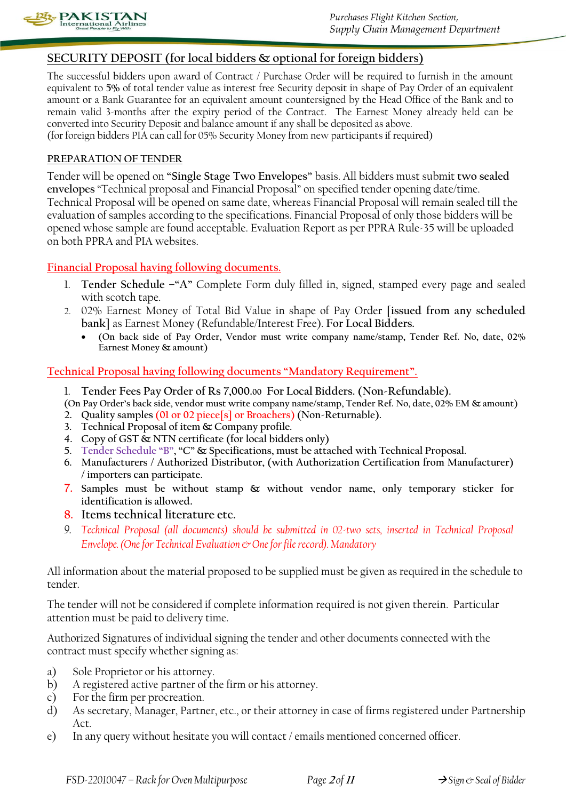

## **SECURITY DEPOSIT (for local bidders & optional for foreign bidders)**

The successful bidders upon award of Contract / Purchase Order will be required to furnish in the amount equivalent to **5%** of total tender value as interest free Security deposit in shape of Pay Order of an equivalent amount or a Bank Guarantee for an equivalent amount countersigned by the Head Office of the Bank and to remain valid 3-months after the expiry period of the Contract. The Earnest Money already held can be converted into Security Deposit and balance amount if any shall be deposited as above. (for foreign bidders PIA can call for 05% Security Money from new participants if required)

#### **PREPARATION OF TENDER**

Tender will be opened on **"Single Stage Two Envelopes"** basis. All bidders must submit **two sealed envelopes** "Technical proposal and Financial Proposal" on specified tender opening date/time. Technical Proposal will be opened on same date, whereas Financial Proposal will remain sealed till the evaluation of samples according to the specifications. Financial Proposal of only those bidders will be opened whose sample are found acceptable. Evaluation Report as per PPRA Rule-35 will be uploaded on both PPRA and PIA websites.

#### **Financial Proposal having following documents.**

- 1. **Tender Schedule –"A"** Complete Form duly filled in, signed, stamped every page and sealed with scotch tape.
- 2. 02% Earnest Money of Total Bid Value in shape of Pay Order **[issued from any scheduled bank]** as Earnest Money (Refundable/Interest Free). **For Local Bidders.**
	- **(On back side of Pay Order, Vendor must write company name/stamp, Tender Ref. No, date, 02% Earnest Money & amount)**

#### **Technical Proposal having following documents "Mandatory Requirement".**

1. **Tender Fees Pay Order of Rs 7,000.00 For Local Bidders. (Non-Refundable).**

**(On Pay Order's back side, vendor must write company name/stamp, Tender Ref. No, date, 02% EM & amount)**

- **2. Quality samples (01 or 02 piece[s] or Broachers) (Non-Returnable).**
- **3. Technical Proposal of item & Company profile.**
- **4. Copy of GST & NTN certificate (for local bidders only)**
- **5. Tender Schedule "B", "C" & Specifications, must be attached with Technical Proposal.**
- **6. Manufacturers / Authorized Distributor, (with Authorization Certification from Manufacturer) / importers can participate.**
- **7. Samples must be without stamp & without vendor name, only temporary sticker for identification is allowed.**
- **8. Items technical literature etc.**
- *9. Technical Proposal (all documents) should be submitted in 02-two sets, inserted in Technical Proposal Envelope. (One for Technical Evaluation & One for file record). Mandatory*

All information about the material proposed to be supplied must be given as required in the schedule to tender.

The tender will not be considered if complete information required is not given therein. Particular attention must be paid to delivery time.

Authorized Signatures of individual signing the tender and other documents connected with the contract must specify whether signing as:

- a) Sole Proprietor or his attorney.
- b) A registered active partner of the firm or his attorney.
- c) For the firm per procreation.
- d) As secretary, Manager, Partner, etc., or their attorney in case of firms registered under Partnership Act.
- e) In any query without hesitate you will contact / emails mentioned concerned officer.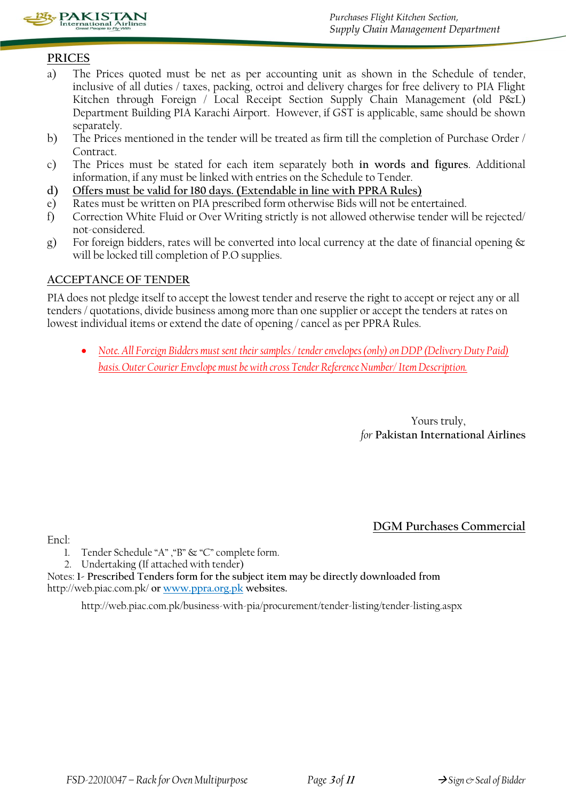

## **PRICES**

- a) The Prices quoted must be net as per accounting unit as shown in the Schedule of tender, inclusive of all duties / taxes, packing, octroi and delivery charges for free delivery to PIA Flight Kitchen through Foreign / Local Receipt Section Supply Chain Management (old P&L) Department Building PIA Karachi Airport. However, if GST is applicable, same should be shown separately.
- b) The Prices mentioned in the tender will be treated as firm till the completion of Purchase Order / Contract.
- c) The Prices must be stated for each item separately both **in words and figures**. Additional information, if any must be linked with entries on the Schedule to Tender.
- **d) Offers must be valid for 180 days. (Extendable in line with PPRA Rules)**
- e) Rates must be written on PIA prescribed form otherwise Bids will not be entertained.
- f) Correction White Fluid or Over Writing strictly is not allowed otherwise tender will be rejected/ not-considered.
- g) For foreign bidders, rates will be converted into local currency at the date of financial opening & will be locked till completion of P.O supplies.

#### **ACCEPTANCE OF TENDER**

PIA does not pledge itself to accept the lowest tender and reserve the right to accept or reject any or all tenders / quotations, divide business among more than one supplier or accept the tenders at rates on lowest individual items or extend the date of opening / cancel as per PPRA Rules.

 *Note. All Foreign Bidders must sent their samples / tender envelopes (only) on DDP (Delivery Duty Paid) basis. Outer Courier Envelope must be with cross Tender Reference Number/ Item Description.*

> Yours truly, *for* **Pakistan International Airlines**

Encl:

- **DGM Purchases Commercial**
- 1. Tender Schedule "A" ,"B" & "C" complete form.
- 2. Undertaking (If attached with tender)

Notes: **1- Prescribed Tenders form for the subject item may be directly downloaded from**  http://web.piac.com.pk/ **or www.ppra.org.pk websites.**

http://web.piac.com.pk/business-with-pia/procurement/tender-listing/tender-listing.aspx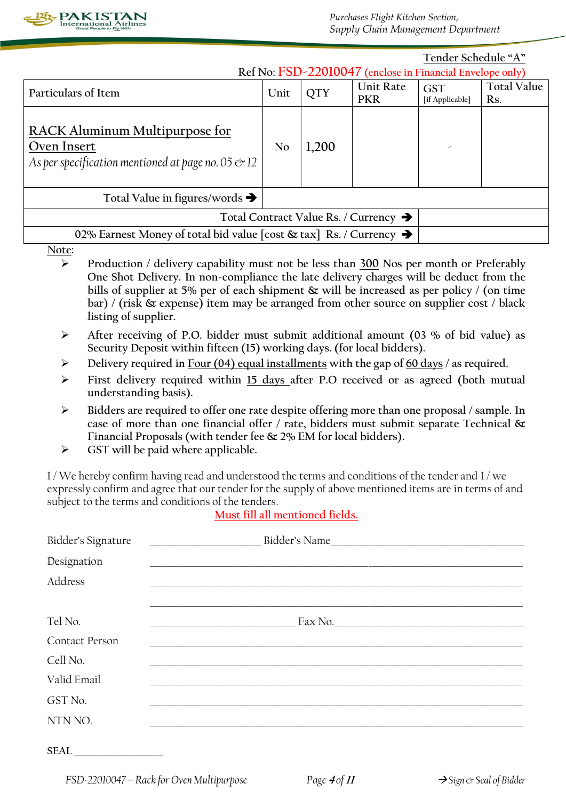

**Tender Schedule "A" Ref No: FSD-22010047 (enclose in Financial Envelope only)**

|                                                                                                         | Ref INO: $\Gamma$ 3D-22010047 (enclose in Financial Envelope only) |            |                                |                               |                           |
|---------------------------------------------------------------------------------------------------------|--------------------------------------------------------------------|------------|--------------------------------|-------------------------------|---------------------------|
| Particulars of Item                                                                                     | Unit                                                               | <b>QTY</b> | <b>Unit Rate</b><br><b>PKR</b> | <b>GST</b><br>[if Applicable] | <b>Total Value</b><br>Rs. |
| RACK Aluminum Multipurpose for<br>Oven Insert<br>As per specification mentioned at page no. 05 $\ll 12$ | No                                                                 | 1,200      |                                | ×                             |                           |
| Total Value in figures/words $\rightarrow$                                                              |                                                                    |            |                                |                               |                           |
| Total Contract Value Rs. / Currency $\rightarrow$                                                       |                                                                    |            |                                |                               |                           |
| 02% Earnest Money of total bid value [cost $\&$ tax] Rs. / Currency $\rightarrow$                       |                                                                    |            |                                |                               |                           |

#### **Note:**

- **Production / delivery capability must not be less than 300 Nos per month or Preferably One Shot Delivery. In non-compliance the late delivery charges will be deduct from the bills of supplier at 5% per of each shipment & will be increased as per policy / (on time bar) / (risk & expense) item may be arranged from other source on supplier cost / black listing of supplier.**
- **After receiving of P.O. bidder must submit additional amount (03 % of bid value) as Security Deposit within fifteen (15) working days. (for local bidders).**
- **Delivery required in Four (04) equal installments with the gap of 60 days / as required.**
- **First delivery required within 15 days after P.O received or as agreed (both mutual understanding basis).**
- **Bidders are required to offer one rate despite offering more than one proposal / sample. In case of more than one financial offer / rate, bidders must submit separate Technical & Financial Proposals (with tender fee & 2% EM for local bidders).**
- **GST will be paid where applicable.**

I / We hereby confirm having read and understood the terms and conditions of the tender and I / we expressly confirm and agree that our tender for the supply of above mentioned items are in terms of and subject to the terms and conditions of the tenders.

## **Must fill all mentioned fields.**

| Bidder's Signature    | Bidder's Name<br><u> 1999 - Johann Harry Harry Harry Harry Harry Harry Harry Harry Harry Harry Harry Harry Harry Harry Harry Harry</u> |
|-----------------------|----------------------------------------------------------------------------------------------------------------------------------------|
| Designation           |                                                                                                                                        |
| Address               |                                                                                                                                        |
|                       |                                                                                                                                        |
| Tel No.               |                                                                                                                                        |
| <b>Contact Person</b> |                                                                                                                                        |
| Cell No.              |                                                                                                                                        |
| Valid Email           |                                                                                                                                        |
| GST No.               |                                                                                                                                        |
| NTN NO.               |                                                                                                                                        |
| <b>SEAL</b>           |                                                                                                                                        |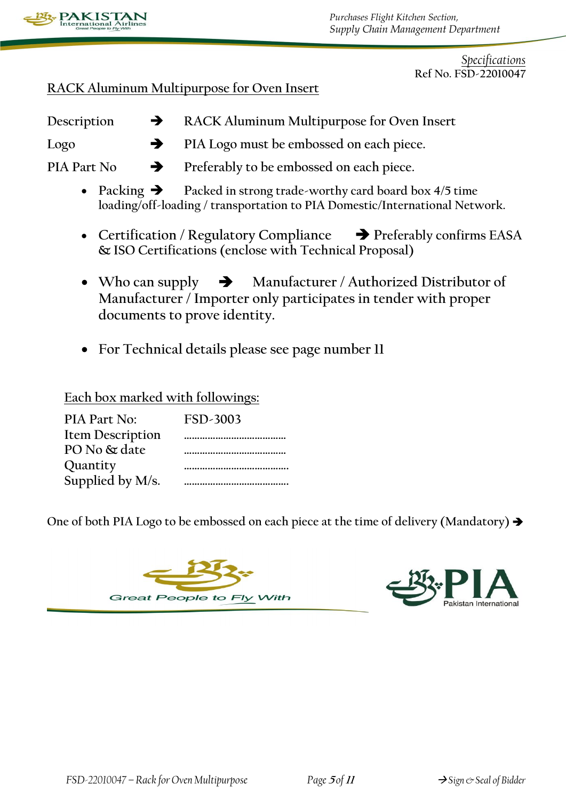

*Specifications* **Ref No. FSD-22010047**

## **RACK Aluminum Multipurpose for Oven Insert**

Description  $\rightarrow$  RACK Aluminum Multipurpose for Oven Insert

- **Logo PIA Logo must be embossed on each piece.**
- PIA Part No  $\rightarrow$  Preferably to be embossed on each piece.
	- Packing  $\rightarrow$  Packed in strong trade-worthy card board box 4/5 time **loading/off-loading / transportation to PIA Domestic/International Network.**
	- **↓** Certification / Regulatory Compliance → Preferably confirms EASA **& ISO Certifications (enclose with Technical Proposal)**
	- Who can supply  $\rightarrow$  Manufacturer / Authorized Distributor of **Manufacturer / Importer only participates in tender with proper documents to prove identity.**
	- **For Technical details please see page number 11**

**Each box marked with followings:** 

| PIA Part No:            | FSD-3003 |
|-------------------------|----------|
| <b>Item Description</b> |          |
| PO No & date            |          |
| Quantity                |          |
| Supplied by M/s.        |          |

**One of both PIA Logo to be embossed on each piece at the time of delivery (Mandatory)**



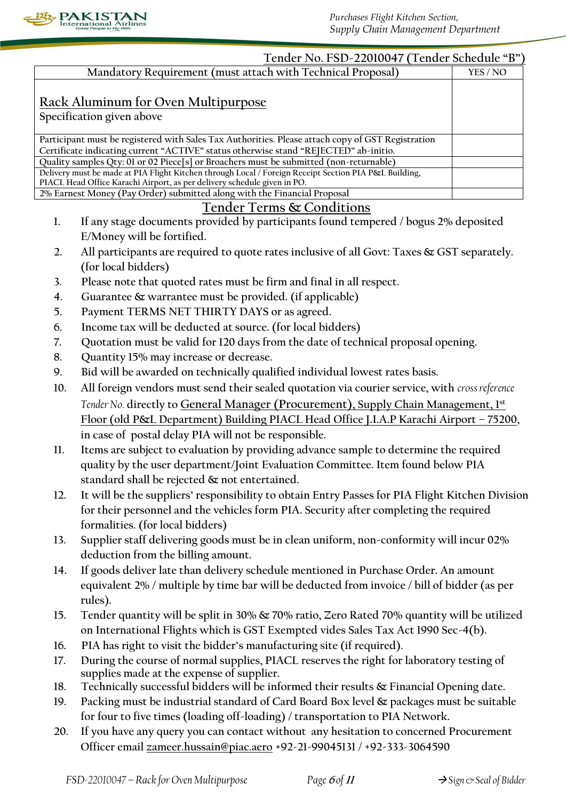

|     | Tender No. FSD-22010047 (Tender Schedule "B")                                                                                                                                             |          |
|-----|-------------------------------------------------------------------------------------------------------------------------------------------------------------------------------------------|----------|
|     | Mandatory Requirement (must attach with Technical Proposal)                                                                                                                               | YES / NO |
|     | <u> Rack Aluminum for Oven Multipurpose</u>                                                                                                                                               |          |
|     | Specification given above                                                                                                                                                                 |          |
|     | Participant must be registered with Sales Tax Authorities. Please attach copy of GST Registration<br>Certificate indicating current "ACTIVE" status otherwise stand "REJECTED" ab-initio. |          |
|     | Quality samples Qty: 01 or 02 Piece[s] or Broachers must be submitted (non-returnable)                                                                                                    |          |
|     | Delivery must be made at PIA Flight Kitchen through Local / Foreign Receipt Section PIA P&L Building,<br>PIACL Head Office Karachi Airport, as per delivery schedule given in PO.         |          |
|     | 2% Earnest Money (Pay Order) submitted along with the Financial Proposal                                                                                                                  |          |
|     | <b>Tender Terms &amp; Conditions</b>                                                                                                                                                      |          |
| 1.  | If any stage documents provided by participants found tempered / bogus 2% deposited<br>E/Money will be fortified.                                                                         |          |
| 2.  | All participants are required to quote rates inclusive of all Govt: Taxes & GST separately.                                                                                               |          |
|     | (for local bidders)                                                                                                                                                                       |          |
| 3.  | Please note that quoted rates must be firm and final in all respect.                                                                                                                      |          |
| 4.  | Guarantee & warrantee must be provided. (if applicable)                                                                                                                                   |          |
| 5.  | Payment TERMS NET THIRTY DAYS or as agreed.                                                                                                                                               |          |
| 6.  | Income tax will be deducted at source. (for local bidders)                                                                                                                                |          |
| 7.  | Quotation must be valid for 120 days from the date of technical proposal opening.                                                                                                         |          |
| 8.  | Quantity 15% may increase or decrease.                                                                                                                                                    |          |
| 9.  | Bid will be awarded on technically qualified individual lowest rates basis.                                                                                                               |          |
| 10. | All foreign vendors must send their sealed quotation via courier service, with cross reference                                                                                            |          |
|     | Tender No. directly to General Manager (Procurement), Supply Chain Management, 1st                                                                                                        |          |
|     | Floor (old P&L Department) Building PIACL Head Office J.I.A.P Karachi Airport - 75200,                                                                                                    |          |
|     | in case of postal delay PIA will not be responsible.                                                                                                                                      |          |
| 11. | Items are subject to evaluation by providing advance sample to determine the required                                                                                                     |          |
|     | quality by the user department/Joint Evaluation Committee. Item found below PIA                                                                                                           |          |
|     | standard shall be rejected & not entertained.                                                                                                                                             |          |
| 12. | It will be the suppliers' responsibility to obtain Entry Passes for PIA Flight Kitchen Division                                                                                           |          |
|     | for their personnel and the vehicles form PIA. Security after completing the required                                                                                                     |          |
|     | formalities. (for local bidders)                                                                                                                                                          |          |
| 13. | Supplier staff delivering goods must be in clean uniform, non-conformity will incur 02%                                                                                                   |          |
|     | deduction from the billing amount.                                                                                                                                                        |          |
| 14. | If goods deliver late than delivery schedule mentioned in Purchase Order. An amount                                                                                                       |          |
|     | equivalent 2% / multiple by time bar will be deducted from invoice / bill of bidder (as per                                                                                               |          |
|     | rules).                                                                                                                                                                                   |          |
| 15. | Tender quantity will be split in 30% & 70% ratio, Zero Rated 70% quantity will be utilized                                                                                                |          |
|     | on International Flights which is GST Exempted vides Sales Tax Act 1990 Sec-4(b).                                                                                                         |          |
| 16. | PIA has right to visit the bidder's manufacturing site (if required).                                                                                                                     |          |
| 17. | During the course of normal supplies, PIACL reserves the right for laboratory testing of                                                                                                  |          |
|     | supplies made at the expense of supplier.                                                                                                                                                 |          |
| 18. | Technically successful bidders will be informed their results & Financial Opening date.                                                                                                   |          |

- **19. Packing must be industrial standard of Card Board Box level & packages must be suitable for four to five times (loading off-loading) / transportation to PIA Network.**
- **20. If you have any query you can contact without any hesitation to concerned Procurement Officer email [zameer.hussain@piac.aero](mailto:zameer.hussain@piac.aero) +92-21-99045131 / +92-333-3064590**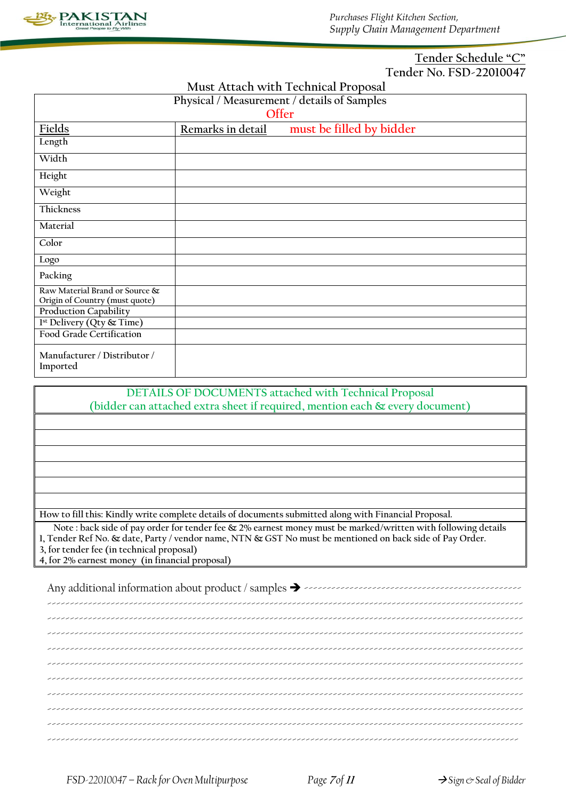

#### **Tender Schedule "C" Tender No. FSD-22010047**

**Must Attach with Technical Proposal**

| Physical / Measurement / details of Samples                      |                   |                          |  |
|------------------------------------------------------------------|-------------------|--------------------------|--|
| Offer                                                            |                   |                          |  |
| Fields                                                           | Remarks in detail | must be filled by bidder |  |
| Length                                                           |                   |                          |  |
| Width                                                            |                   |                          |  |
| Height                                                           |                   |                          |  |
| Weight                                                           |                   |                          |  |
| <b>Thickness</b>                                                 |                   |                          |  |
| Material                                                         |                   |                          |  |
| Color                                                            |                   |                          |  |
| Logo                                                             |                   |                          |  |
| Packing                                                          |                   |                          |  |
| Raw Material Brand or Source &<br>Origin of Country (must quote) |                   |                          |  |
| Production Capability                                            |                   |                          |  |
| 1 <sup>st</sup> Delivery (Qty & Time)                            |                   |                          |  |
| Food Grade Certification                                         |                   |                          |  |
| Manufacturer / Distributor /<br>Imported                         |                   |                          |  |

**DETAILS OF DOCUMENTS attached with Technical Proposal (bidder can attached extra sheet if required, mention each & every document)**

**How to fill this: Kindly write complete details of documents submitted along with Financial Proposal.**

**Note : back side of pay order for tender fee & 2% earnest money must be marked/written with following details**

**1, Tender Ref No. & date, Party / vendor name, NTN & GST No must be mentioned on back side of Pay Order.**

**3, for tender fee (in technical proposal)**

**4, for 2% earnest money (in financial proposal)**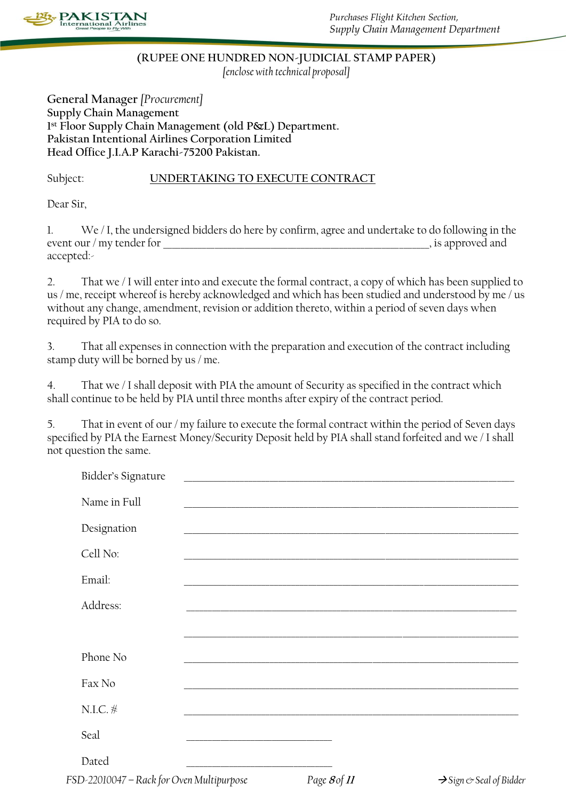

# **(RUPEE ONE HUNDRED NON-JUDICIAL STAMP PAPER)**

*[enclose with technical proposal]*

**General Manager** *[Procurement]* **Supply Chain Management 1 st Floor Supply Chain Management (old P&L) Department. Pakistan Intentional Airlines Corporation Limited Head Office J.I.A.P Karachi-75200 Pakistan.**

## Subject: **UNDERTAKING TO EXECUTE CONTRACT**

Dear Sir,

1. We / I, the undersigned bidders do here by confirm, agree and undertake to do following in the event our / my tender for  $\Box$  is approved and accepted:-

2. That we / I will enter into and execute the formal contract, a copy of which has been supplied to us / me, receipt whereof is hereby acknowledged and which has been studied and understood by me / us without any change, amendment, revision or addition thereto, within a period of seven days when required by PIA to do so.

3. That all expenses in connection with the preparation and execution of the contract including stamp duty will be borned by us / me.

4. That we / I shall deposit with PIA the amount of Security as specified in the contract which shall continue to be held by PIA until three months after expiry of the contract period.

5. That in event of our / my failure to execute the formal contract within the period of Seven days specified by PIA the Earnest Money/Security Deposit held by PIA shall stand forfeited and we / I shall not question the same.

| Bidder's Signature                        |                                                                                                                      |                                                                                                                       |                                           |
|-------------------------------------------|----------------------------------------------------------------------------------------------------------------------|-----------------------------------------------------------------------------------------------------------------------|-------------------------------------------|
| Name in Full                              |                                                                                                                      | <u> 1989 - Johann Stein, marwolaethau a bhann an t-Amhain ann an t-Amhain an t-Amhain an t-Amhain an t-Amhain an</u>  |                                           |
| Designation                               |                                                                                                                      | <u> 1989 - Johann Barbara, markazar margolaria (h. 1989).</u>                                                         |                                           |
| Cell No:                                  |                                                                                                                      | <u> 2000 - Jan Barat, prima de la contrada de la contrada de la contrada de la contrada de la contrada de la con</u>  |                                           |
| Email:                                    |                                                                                                                      | <u> 1989 - Johann Stoff, deutscher Stoff, der Stoff, der Stoff, der Stoff, der Stoff, der Stoff, der Stoff, der S</u> |                                           |
| Address:                                  |                                                                                                                      |                                                                                                                       |                                           |
|                                           |                                                                                                                      |                                                                                                                       |                                           |
| Phone No                                  |                                                                                                                      | <u> 1980 - Andrea Santa Alemania, amerikana amerikana amerikana amerikana amerikana amerikana amerikana amerikan</u>  |                                           |
| Fax No                                    |                                                                                                                      |                                                                                                                       |                                           |
| $N.I.C.$ $#$                              |                                                                                                                      |                                                                                                                       |                                           |
| Seal                                      | <u> 1989 - Johann John Stone, market fan it ferstjer fan it ferstjer fan it ferstjer fan it ferstjer fan it fers</u> |                                                                                                                       |                                           |
| Dated                                     | <u> 2000 - Jan Barnett, amerikansk politik (d. 1982)</u>                                                             |                                                                                                                       |                                           |
| FSD-22010047 - Rack for Oven Multipurpose |                                                                                                                      | Page 8 of 11                                                                                                          | $\rightarrow$ Sign $\circ$ Seal of Bidder |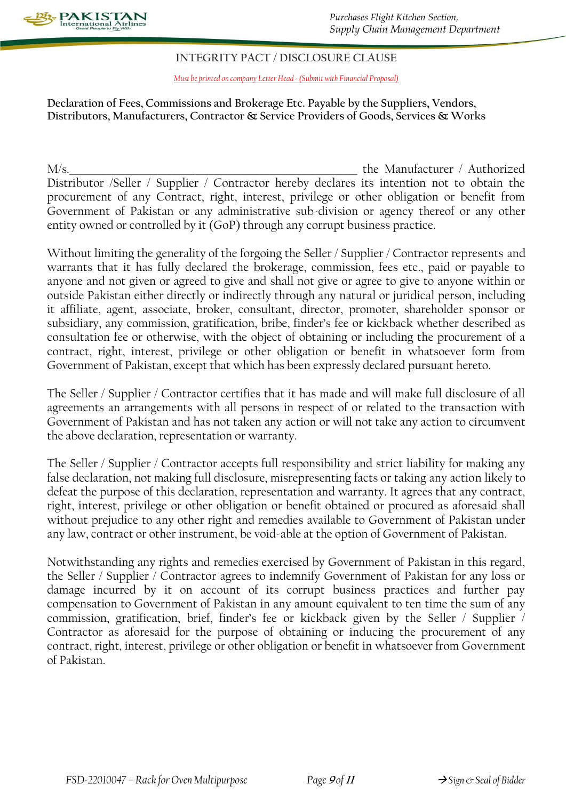

#### **INTEGRITY PACT / DISCLOSURE CLAUSE**

*Must be printed on company Letter Head - (Submit with Financial Proposal)*

#### **Declaration of Fees, Commissions and Brokerage Etc. Payable by the Suppliers, Vendors, Distributors, Manufacturers, Contractor & Service Providers of Goods, Services & Works**

M/s. The Manufacturer / Authorized Distributor /Seller / Supplier / Contractor hereby declares its intention not to obtain the procurement of any Contract, right, interest, privilege or other obligation or benefit from Government of Pakistan or any administrative sub-division or agency thereof or any other entity owned or controlled by it (GoP) through any corrupt business practice.

Without limiting the generality of the forgoing the Seller / Supplier / Contractor represents and warrants that it has fully declared the brokerage, commission, fees etc., paid or payable to anyone and not given or agreed to give and shall not give or agree to give to anyone within or outside Pakistan either directly or indirectly through any natural or juridical person, including it affiliate, agent, associate, broker, consultant, director, promoter, shareholder sponsor or subsidiary, any commission, gratification, bribe, finder's fee or kickback whether described as consultation fee or otherwise, with the object of obtaining or including the procurement of a contract, right, interest, privilege or other obligation or benefit in whatsoever form from Government of Pakistan, except that which has been expressly declared pursuant hereto.

The Seller / Supplier / Contractor certifies that it has made and will make full disclosure of all agreements an arrangements with all persons in respect of or related to the transaction with Government of Pakistan and has not taken any action or will not take any action to circumvent the above declaration, representation or warranty.

The Seller / Supplier / Contractor accepts full responsibility and strict liability for making any false declaration, not making full disclosure, misrepresenting facts or taking any action likely to defeat the purpose of this declaration, representation and warranty. It agrees that any contract, right, interest, privilege or other obligation or benefit obtained or procured as aforesaid shall without prejudice to any other right and remedies available to Government of Pakistan under any law, contract or other instrument, be void-able at the option of Government of Pakistan.

Notwithstanding any rights and remedies exercised by Government of Pakistan in this regard, the Seller / Supplier / Contractor agrees to indemnify Government of Pakistan for any loss or damage incurred by it on account of its corrupt business practices and further pay compensation to Government of Pakistan in any amount equivalent to ten time the sum of any commission, gratification, brief, finder's fee or kickback given by the Seller / Supplier / Contractor as aforesaid for the purpose of obtaining or inducing the procurement of any contract, right, interest, privilege or other obligation or benefit in whatsoever from Government of Pakistan.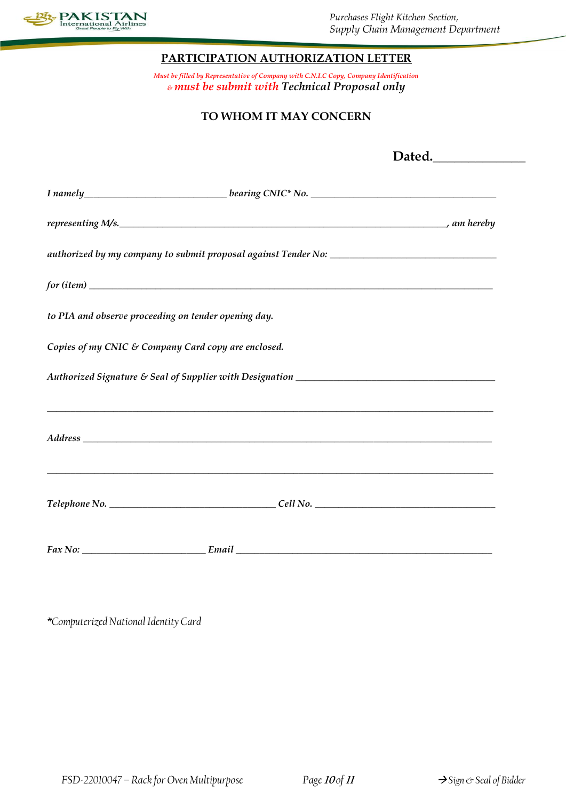

### **PARTICIPATION AUTHORIZATION LETTER**

*Must be filled by Representative of Company with C.N.I.C Copy, Company Identification & must be submit with Technical Proposal only*

## **TO WHOM IT MAY CONCERN**

|                                                                                                                                                                                                                                | Dated. |  |  |
|--------------------------------------------------------------------------------------------------------------------------------------------------------------------------------------------------------------------------------|--------|--|--|
| I namely ______________________________bearing CNIC* No. _______________________                                                                                                                                               |        |  |  |
|                                                                                                                                                                                                                                |        |  |  |
|                                                                                                                                                                                                                                |        |  |  |
| for (item)                                                                                                                                                                                                                     |        |  |  |
| to PIA and observe proceeding on tender opening day.                                                                                                                                                                           |        |  |  |
| Copies of my CNIC & Company Card copy are enclosed.                                                                                                                                                                            |        |  |  |
|                                                                                                                                                                                                                                |        |  |  |
|                                                                                                                                                                                                                                |        |  |  |
| Address experiences and the contract of the contract of the contract of the contract of the contract of the contract of the contract of the contract of the contract of the contract of the contract of the contract of the co |        |  |  |
|                                                                                                                                                                                                                                |        |  |  |
|                                                                                                                                                                                                                                |        |  |  |
|                                                                                                                                                                                                                                |        |  |  |
|                                                                                                                                                                                                                                |        |  |  |

*\*Computerized National Identity Card*